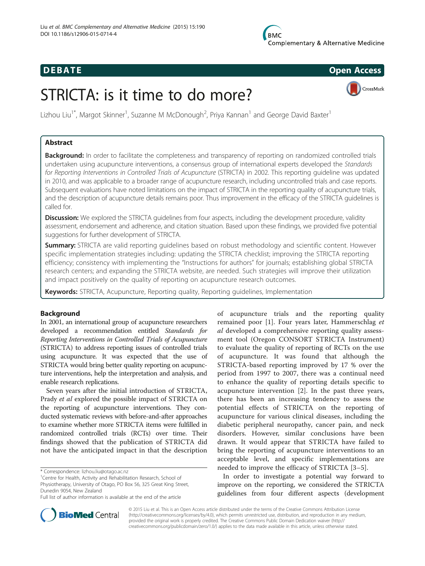## **DEBATE CONSIDERENT CONSIDERED ACCESS**



# STRICTA: is it time to do more?

Lizhou Liu<sup>1\*</sup>, Margot Skinner<sup>1</sup>, Suzanne M McDonough<sup>2</sup>, Priya Kannan<sup>1</sup> and George David Baxter<sup>1</sup>

## Abstract

Background: In order to facilitate the completeness and transparency of reporting on randomized controlled trials undertaken using acupuncture interventions, a consensus group of international experts developed the Standards for Reporting Interventions in Controlled Trials of Acupuncture (STRICTA) in 2002. This reporting guideline was updated in 2010, and was applicable to a broader range of acupuncture research, including uncontrolled trials and case reports. Subsequent evaluations have noted limitations on the impact of STRICTA in the reporting quality of acupuncture trials, and the description of acupuncture details remains poor. Thus improvement in the efficacy of the STRICTA guidelines is called for.

**Discussion:** We explored the STRICTA quidelines from four aspects, including the development procedure, validity assessment, endorsement and adherence, and citation situation. Based upon these findings, we provided five potential suggestions for further development of STRICTA.

**Summary:** STRICTA are valid reporting guidelines based on robust methodology and scientific content. However specific implementation strategies including: updating the STRICTA checklist; improving the STRICTA reporting efficiency; consistency with implementing the "Instructions for authors" for journals; establishing global STRICTA research centers; and expanding the STRICTA website, are needed. Such strategies will improve their utilization and impact positively on the quality of reporting on acupuncture research outcomes.

Keywords: STRICTA, Acupuncture, Reporting quality, Reporting quidelines, Implementation

## Background

In 2001, an international group of acupuncture researchers developed a recommendation entitled Standards for Reporting Interventions in Controlled Trials of Acupuncture (STRICTA) to address reporting issues of controlled trials using acupuncture. It was expected that the use of STRICTA would bring better quality reporting on acupuncture interventions, help the interpretation and analysis, and enable research replications.

Seven years after the initial introduction of STRICTA, Prady et al explored the possible impact of STRICTA on the reporting of acupuncture interventions. They conducted systematic reviews with before-and-after approaches to examine whether more STRICTA items were fulfilled in randomized controlled trials (RCTs) over time. Their findings showed that the publication of STRICTA did not have the anticipated impact in that the description

of acupuncture trials and the reporting quality remained poor [\[1](#page-9-0)]. Four years later, Hammerschlag et al developed a comprehensive reporting quality assessment tool (Oregon CONSORT STRICTA Instrument) to evaluate the quality of reporting of RCTs on the use of acupuncture. It was found that although the STRICTA-based reporting improved by 17 % over the period from 1997 to 2007, there was a continual need to enhance the quality of reporting details specific to acupuncture intervention [[2\]](#page-9-0). In the past three years, there has been an increasing tendency to assess the potential effects of STRICTA on the reporting of acupuncture for various clinical diseases, including the diabetic peripheral neuropathy, cancer pain, and neck disorders. However, similar conclusions have been drawn. It would appear that STRICTA have failed to bring the reporting of acupuncture interventions to an acceptable level, and specific implementations are needed to improve the efficacy of STRICTA [[3](#page-9-0)–[5\]](#page-9-0).

In order to investigate a potential way forward to improve on the reporting, we considered the STRICTA guidelines from four different aspects (development



© 2015 Liu et al. This is an Open Access article distributed under the terms of the Creative Commons Attribution License [\(http://creativecommons.org/licenses/by/4.0\)](http://creativecommons.org/licenses/by/4.0), which permits unrestricted use, distribution, and reproduction in any medium, provided the original work is properly credited. The Creative Commons Public Domain Dedication waiver [\(http://](http://creativecommons.org/publicdomain/zero/1.0/) [creativecommons.org/publicdomain/zero/1.0/\)](http://creativecommons.org/publicdomain/zero/1.0/) applies to the data made available in this article, unless otherwise stated.

<sup>\*</sup> Correspondence: [lizhou.liu@otago.ac.nz](mailto:lizhou.liu@otago.ac.nz) <sup>1</sup>

Centre for Health, Activity and Rehabilitation Research, School of Physiotherapy, University of Otago, PO Box 56, 325 Great King Street, Dunedin 9054, New Zealand

Full list of author information is available at the end of the article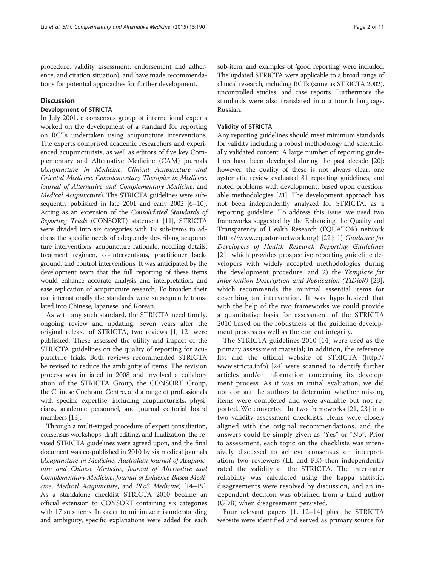procedure, validity assessment, endorsement and adherence, and citation situation), and have made recommendations for potential approaches for further development.

## **Discussion**

### Development of STRICTA

In July 2001, a consensus group of international experts worked on the development of a standard for reporting on RCTs undertaken using acupuncture interventions. The experts comprised academic researchers and experienced acupuncturists, as well as editors of five key Complementary and Alternative Medicine (CAM) journals (Acupuncture in Medicine, Clinical Acupuncture and Oriental Medicine, Complementary Therapies in Medicine, Journal of Alternative and Complementary Medicine, and Medical Acupuncture). The STRICTA guidelines were subsequently published in late 2001 and early 2002 [\[6](#page-9-0)–[10](#page-9-0)]. Acting as an extension of the Consolidated Standards of Reporting Trials (CONSORT) statement [\[11\]](#page-9-0), STRICTA were divided into six categories with 19 sub-items to address the specific needs of adequately describing acupuncture interventions: acupuncture rationale, needling details, treatment regimen, co-interventions, practitioner background, and control interventions. It was anticipated by the development team that the full reporting of these items would enhance accurate analysis and interpretation, and ease replication of acupuncture research. To broaden their use internationally the standards were subsequently translated into Chinese, Japanese, and Korean.

As with any such standard, the STRICTA need timely, ongoing review and updating. Seven years after the original release of STRICTA, two reviews [\[1](#page-9-0), [12\]](#page-9-0) were published. These assessed the utility and impact of the STRICTA guidelines on the quality of reporting for acupuncture trials. Both reviews recommended STRICTA be revised to reduce the ambiguity of items. The revision process was initiated in 2008 and involved a collaboration of the STRICTA Group, the CONSORT Group, the Chinese Cochrane Centre, and a range of professionals with specific expertise, including acupuncturists, physicians, academic personnel, and journal editorial board members [\[13](#page-9-0)].

Through a multi-staged procedure of expert consultation, consensus workshops, draft editing, and finalization, the revised STRICTA guidelines were agreed upon, and the final document was co-published in 2010 by six medical journals (Acupuncture in Medicine, Australian Journal of Acupuncture and Chinese Medicine, Journal of Alternative and Complementary Medicine, Journal of Evidence-Based Medicine, Medical Acupuncture, and PLoS Medicine) [[14](#page-10-0)–[19](#page-10-0)]. As a standalone checklist STRICTA 2010 became an official extension to CONSORT containing six categories with 17 sub-items. In order to minimize misunderstanding and ambiguity, specific explanations were added for each

sub-item, and examples of 'good reporting' were included. The updated STRICTA were applicable to a broad range of clinical research, including RCTs (same as STRICTA 2002), uncontrolled studies, and case reports. Furthermore the standards were also translated into a fourth language, Russian.

#### Validity of STRICTA

Any reporting guidelines should meet minimum standards for validity including a robust methodology and scientifically validated content. A large number of reporting guidelines have been developed during the past decade [[20](#page-10-0)]; however, the quality of these is not always clear: one systematic review evaluated 81 reporting guidelines, and noted problems with development, based upon questionable methodologies [\[21\]](#page-10-0). The development approach has not been independently analyzed for STRICTA, as a reporting guideline. To address this issue, we used two frameworks suggested by the Enhancing the Quality and Transparency of Health Research (EQUATOR) network ([http://www.equator-network.org\)](http://www.equator-network.org) [[22\]](#page-10-0): 1) Guidance for Developers of Health Research Reporting Guidelines [[21](#page-10-0)] which provides prospective reporting guideline developers with widely accepted methodologies during the development procedure, and 2) the Template for Intervention Description and Replication (TIDieR) [\[23](#page-10-0)], which recommends the minimal essential items for describing an intervention. It was hypothesized that with the help of the two frameworks we could provide a quantitative basis for assessment of the STRICTA 2010 based on the robustness of the guideline development process as well as the content integrity.

The STRICTA guidelines 2010 [[14\]](#page-10-0) were used as the primary assessment material; in addition, the reference list and the official website of STRICTA [\(http://](http://www.stricta.info) [www.stricta.info](http://www.stricta.info)) [\[24](#page-10-0)] were scanned to identify further articles and/or information concerning its development process. As it was an initial evaluation, we did not contact the authors to determine whether missing items were completed and were available but not reported. We converted the two frameworks [\[21](#page-10-0), [23\]](#page-10-0) into two validity assessment checklists. Items were closely aligned with the original recommendations, and the answers could be simply given as "Yes" or "No". Prior to assessment, each topic on the checklists was intensively discussed to achieve consensus on interpretation; two reviewers (LL and PK) then independently rated the validity of the STRICTA. The inter-rater reliability was calculated using the kappa statistic; disagreements were resolved by discussion, and an independent decision was obtained from a third author (GDB) when disagreement persisted.

Four relevant papers [[1, 12](#page-9-0)–[14\]](#page-10-0) plus the STRICTA website were identified and served as primary source for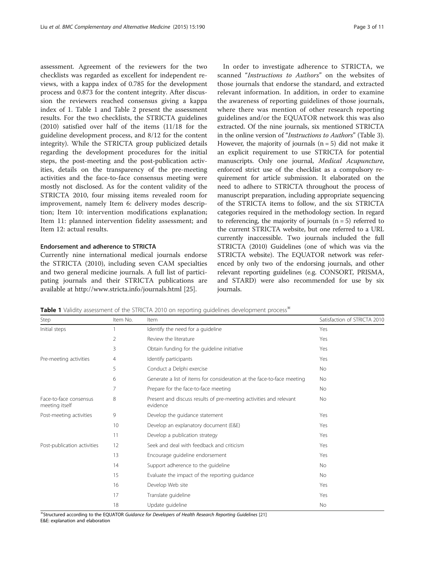assessment. Agreement of the reviewers for the two checklists was regarded as excellent for independent reviews, with a kappa index of 0.785 for the development process and 0.873 for the content integrity. After discussion the reviewers reached consensus giving a kappa index of 1. Table 1 and Table [2](#page-3-0) present the assessment results. For the two checklists, the STRICTA guidelines (2010) satisfied over half of the items (11/18 for the guideline development process, and 8/12 for the content integrity). While the STRICTA group publicized details regarding the development procedures for the initial steps, the post-meeting and the post-publication activities, details on the transparency of the pre-meeting activities and the face-to-face consensus meeting were mostly not disclosed. As for the content validity of the STRICTA 2010, four missing items revealed room for improvement, namely Item 6: delivery modes description; Item 10: intervention modifications explanation; Item 11: planned intervention fidelity assessment; and Item 12: actual results.

## Endorsement and adherence to STRICTA

Currently nine international medical journals endorse the STRICTA (2010), including seven CAM specialties and two general medicine journals. A full list of participating journals and their STRICTA publications are available at<http://www.stricta.info/journals.html> [[25\]](#page-10-0).

In order to investigate adherence to STRICTA, we scanned "Instructions to Authors" on the websites of those journals that endorse the standard, and extracted relevant information. In addition, in order to examine the awareness of reporting guidelines of those journals, where there was mention of other research reporting guidelines and/or the EQUATOR network this was also extracted. Of the nine journals, six mentioned STRICTA in the online version of "Instructions to Authors" (Table [3](#page-4-0)). However, the majority of journals  $(n = 5)$  did not make it an explicit requirement to use STRICTA for potential manuscripts. Only one journal, Medical Acupuncture, enforced strict use of the checklist as a compulsory requirement for article submission. It elaborated on the need to adhere to STRICTA throughout the process of manuscript preparation, including appropriate sequencing of the STRICTA items to follow, and the six STRICTA categories required in the methodology section. In regard to referencing, the majority of journals  $(n = 5)$  referred to the current STRICTA website, but one referred to a URL currently inaccessible. Two journals included the full STRICTA (2010) Guidelines (one of which was via the STRICTA website). The EQUATOR network was referenced by only two of the endorsing journals, and other relevant reporting guidelines (e.g. CONSORT, PRISMA, and STARD) were also recommended for use by six journals.

Table 1 Validity assessment of the STRICTA 2010 on reporting guidelines development process<sup>\*\*</sup>

| Item No.<br>Step                         |    | Item                                                                           | Satisfaction of STRICTA 2010 |  |
|------------------------------------------|----|--------------------------------------------------------------------------------|------------------------------|--|
| Initial steps                            |    | Identify the need for a guideline                                              | Yes                          |  |
|                                          | 2  | Review the literature                                                          | Yes                          |  |
|                                          | 3  | Obtain funding for the guideline initiative                                    | Yes                          |  |
| Pre-meeting activities                   | 4  | Identify participants                                                          | Yes                          |  |
|                                          | 5  | Conduct a Delphi exercise                                                      | <b>No</b>                    |  |
|                                          | 6  | Generate a list of items for consideration at the face-to-face meeting         | No.                          |  |
|                                          | 7  | Prepare for the face-to-face meeting                                           | <b>No</b>                    |  |
| Face-to-face consensus<br>meeting itself | 8  | Present and discuss results of pre-meeting activities and relevant<br>evidence | <b>No</b>                    |  |
| Post-meeting activities                  | 9  | Develop the guidance statement                                                 | Yes                          |  |
|                                          | 10 | Develop an explanatory document (E&E)                                          | Yes                          |  |
|                                          | 11 | Develop a publication strategy                                                 | Yes                          |  |
| Post-publication activities              | 12 | Seek and deal with feedback and criticism                                      | Yes                          |  |
|                                          | 13 | Encourage guideline endorsement                                                | Yes                          |  |
|                                          | 14 | Support adherence to the quideline                                             | <b>No</b>                    |  |
|                                          | 15 | Evaluate the impact of the reporting guidance                                  | No.                          |  |
|                                          | 16 | Develop Web site                                                               | Yes                          |  |
|                                          | 17 | Translate guideline                                                            | Yes                          |  |
|                                          | 18 | Update quideline                                                               | <b>No</b>                    |  |

※Structured according to the EQUATOR Guidance for Developers of Health Research Reporting Guidelines [[21](#page-10-0)] E&E: explanation and elaboration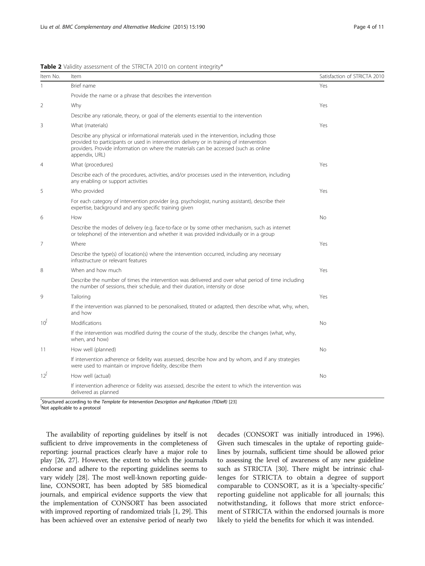<span id="page-3-0"></span>

|  | Table 2 Validity assessment of the STRICTA 2010 on content integrity* |
|--|-----------------------------------------------------------------------|
|--|-----------------------------------------------------------------------|

| Item No.       | Item                                                                                                                                                                                                                                                                                              | Satisfaction of STRICTA 2010 |
|----------------|---------------------------------------------------------------------------------------------------------------------------------------------------------------------------------------------------------------------------------------------------------------------------------------------------|------------------------------|
|                | Brief name                                                                                                                                                                                                                                                                                        | Yes                          |
|                | Provide the name or a phrase that describes the intervention                                                                                                                                                                                                                                      |                              |
| 2              | Why                                                                                                                                                                                                                                                                                               | Yes                          |
|                | Describe any rationale, theory, or goal of the elements essential to the intervention                                                                                                                                                                                                             |                              |
| 3              | What (materials)                                                                                                                                                                                                                                                                                  | Yes                          |
|                | Describe any physical or informational materials used in the intervention, including those<br>provided to participants or used in intervention delivery or in training of intervention<br>providers. Provide information on where the materials can be accessed (such as online<br>appendix, URL) |                              |
| $\overline{4}$ | What (procedures)                                                                                                                                                                                                                                                                                 | Yes                          |
|                | Describe each of the procedures, activities, and/or processes used in the intervention, including<br>any enabling or support activities                                                                                                                                                           |                              |
| 5              | Who provided                                                                                                                                                                                                                                                                                      | Yes                          |
|                | For each category of intervention provider (e.g. psychologist, nursing assistant), describe their<br>expertise, background and any specific training given                                                                                                                                        |                              |
| 6              | How                                                                                                                                                                                                                                                                                               | No                           |
|                | Describe the modes of delivery (e.g. face-to-face or by some other mechanism, such as internet<br>or telephone) of the intervention and whether it was provided individually or in a group                                                                                                        |                              |
| $\overline{7}$ | Where                                                                                                                                                                                                                                                                                             | Yes                          |
|                | Describe the type(s) of location(s) where the intervention occurred, including any necessary<br>infrastructure or relevant features                                                                                                                                                               |                              |
| 8              | When and how much                                                                                                                                                                                                                                                                                 | Yes                          |
|                | Describe the number of times the intervention was delivered and over what period of time including<br>the number of sessions, their schedule, and their duration, intensity or dose                                                                                                               |                              |
| 9              | Tailoring                                                                                                                                                                                                                                                                                         | Yes                          |
|                | If the intervention was planned to be personalised, titrated or adapted, then describe what, why, when,<br>and how                                                                                                                                                                                |                              |
| $10^{\circ}$   | Modifications                                                                                                                                                                                                                                                                                     | <b>No</b>                    |
|                | If the intervention was modified during the course of the study, describe the changes (what, why,<br>when, and how)                                                                                                                                                                               |                              |
| 11             | How well (planned)                                                                                                                                                                                                                                                                                | No                           |
|                | If intervention adherence or fidelity was assessed, describe how and by whom, and if any strategies<br>were used to maintain or improve fidelity, describe them                                                                                                                                   |                              |
| $12^*$         | How well (actual)                                                                                                                                                                                                                                                                                 | No                           |
|                | If intervention adherence or fidelity was assessed, describe the extent to which the intervention was<br>delivered as planned                                                                                                                                                                     |                              |

\* Structured according to the Template for Intervention Description and Replication (TIDieR) [[23\]](#page-10-0) ∮ Not applicable to a protocol

The availability of reporting guidelines by itself is not sufficient to drive improvements in the completeness of reporting: journal practices clearly have a major role to play [\[26, 27](#page-10-0)]. However, the extent to which the journals endorse and adhere to the reporting guidelines seems to vary widely [\[28\]](#page-10-0). The most well-known reporting guideline, CONSORT, has been adopted by 585 biomedical journals, and empirical evidence supports the view that the implementation of CONSORT has been associated with improved reporting of randomized trials [\[1](#page-9-0), [29\]](#page-10-0). This has been achieved over an extensive period of nearly two decades (CONSORT was initially introduced in 1996). Given such timescales in the uptake of reporting guidelines by journals, sufficient time should be allowed prior to assessing the level of awareness of any new guideline such as STRICTA [\[30](#page-10-0)]. There might be intrinsic challenges for STRICTA to obtain a degree of support comparable to CONSORT, as it is a 'specialty-specific' reporting guideline not applicable for all journals; this notwithstanding, it follows that more strict enforcement of STRICTA within the endorsed journals is more likely to yield the benefits for which it was intended.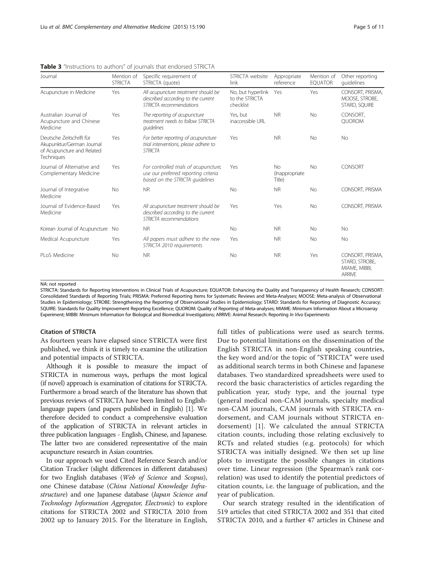| Journal                                                                                           | Mention of<br><b>STRICTA</b> | Specific requirement of<br>STRICTA (quote)                                                                       | STRICTA website<br>link                          | Appropriate<br>reference        | Mention of<br><b>EQUATOR</b> | Other reporting<br>quidelines                                        |
|---------------------------------------------------------------------------------------------------|------------------------------|------------------------------------------------------------------------------------------------------------------|--------------------------------------------------|---------------------------------|------------------------------|----------------------------------------------------------------------|
| Acupuncture in Medicine                                                                           | Yes                          | All acupuncture treatment should be<br>described according to the current<br>STRICTA recommendations             | No, but hyperlink<br>to the STRICTA<br>checklist | Yes                             | Yes                          | CONSORT, PRISMA,<br>MOOSE, STROBE,<br>STARD, SQUIRE                  |
| Australian Journal of<br>Acupuncture and Chinese<br>Medicine                                      | Yes                          | The reporting of acupuncture<br>treatment needs to follow STRICTA<br>quidelines                                  | Yes, but<br>inaccessible URL                     | <b>NR</b>                       | <b>No</b>                    | CONSORT,<br><b>OUOROM</b>                                            |
| Deutsche Zeitschrift für<br>Akupunktur/German Journal<br>of Acupuncture and Related<br>Techniques | Yes                          | For better reporting of acupuncture<br>trial interventions, please adhere to<br><b>STRICTA</b>                   | Yes                                              | <b>NR</b>                       | <b>No</b>                    | <b>No</b>                                                            |
| Journal of Alternative and<br>Complementary Medicine                                              | Yes                          | For controlled trials of acupuncture,<br>use our preferred reporting criteria<br>based on the STRICTA quidelines | Yes                                              | No<br>(Inappropriate)<br>Title) | <b>No</b>                    | CONSORT                                                              |
| Journal of Integrative<br>Medicine                                                                | <b>No</b>                    | <b>NR</b>                                                                                                        | <b>No</b>                                        | <b>NR</b>                       | <b>No</b>                    | CONSORT, PRISMA                                                      |
| Journal of Evidence-Based<br>Medicine                                                             | Yes                          | All acupuncture treatment should be<br>described according to the current<br>STRICTA recommendations             | Yes                                              | Yes                             | No                           | CONSORT, PRISMA                                                      |
| Korean Journal of Acupuncture                                                                     | No                           | <b>NR</b>                                                                                                        | <b>No</b>                                        | <b>NR</b>                       | <b>No</b>                    | <b>No</b>                                                            |
| Medical Acupuncture                                                                               | Yes                          | All papers must adhere to the new<br>STRICTA 2010 requirements                                                   | Yes                                              | <b>NR</b>                       | <b>No</b>                    | No                                                                   |
| PLoS Medicine                                                                                     | <b>No</b>                    | <b>NR</b>                                                                                                        | <b>No</b>                                        | <b>NR</b>                       | Yes                          | CONSORT, PRISMA,<br>STARD, STROBE,<br>MIAME, MIBBI,<br><b>ARRIVE</b> |

<span id="page-4-0"></span>**Table 3** "Instructions to authors" of journals that endorsed STRICTA

NA: not reported

STRICTA: Standards for Reporting Interventions in Clinical Trials of Acupuncture; EQUATOR: Enhancing the Quality and Transparency of Health Research; CONSORT: Consolidated Standards of Reporting Trials; PRISMA: Preferred Reporting Items for Systematic Reviews and Meta-Analyses; MOOSE: Meta-analysis of Observational Studies in Epidemiology; STROBE: Strengthening the Reporting of Observational Studies in Epidemiology; STARD: Standards for Reporting of Diagnostic Accuracy; SQUIRE: Standards for Quality Improvement Reporting Excellence; QUOROM: Quality of Reporting of Meta-analyses; MIAME: Minimum Information About a Microarray Experiment; MIBBI: Minimum Information for Biological and Biomedical Investigations; ARRIVE: Animal Research: Reporting In Vivo Experiments

#### Citation of STRICTA

As fourteen years have elapsed since STRICTA were first published, we think it is timely to examine the utilization and potential impacts of STRICTA.

Although it is possible to measure the impact of STRICTA in numerous ways, perhaps the most logical (if novel) approach is examination of citations for STRICTA. Furthermore a broad search of the literature has shown that previous reviews of STRICTA have been limited to Englishlanguage papers (and papers published in English) [\[1\]](#page-9-0). We therefore decided to conduct a comprehensive evaluation of the application of STRICTA in relevant articles in three publication languages - English, Chinese, and Japanese. The latter two are considered representative of the main acupuncture research in Asian countries.

In our approach we used Cited Reference Search and/or Citation Tracker (slight differences in different databases) for two English databases (Web of Science and Scopus), one Chinese database (China National Knowledge Infrastructure) and one Japanese database (Japan Science and Technology Information Aggregator, Electronic) to explore citations for STRICTA 2002 and STRICTA 2010 from 2002 up to January 2015. For the literature in English, full titles of publications were used as search terms. Due to potential limitations on the dissemination of the English STRICTA in non-English speaking countries, the key word and/or the topic of "STRICTA" were used as additional search terms in both Chinese and Japanese databases. Two standardized spreadsheets were used to record the basic characteristics of articles regarding the publication year, study type, and the journal type (general medical non-CAM journals, specialty medical non-CAM journals, CAM journals with STRICTA endorsement, and CAM journals without STRICTA endorsement) [\[1](#page-9-0)]. We calculated the annual STRICTA citation counts, including those relating exclusively to RCTs and related studies (e.g. protocols) for which STRICTA was initially designed. We then set up line plots to investigate the possible changes in citations over time. Linear regression (the Spearman's rank correlation) was used to identify the potential predictors of citation counts, i.e. the language of publication, and the year of publication.

Our search strategy resulted in the identification of 519 articles that cited STRICTA 2002 and 351 that cited STRICTA 2010, and a further 47 articles in Chinese and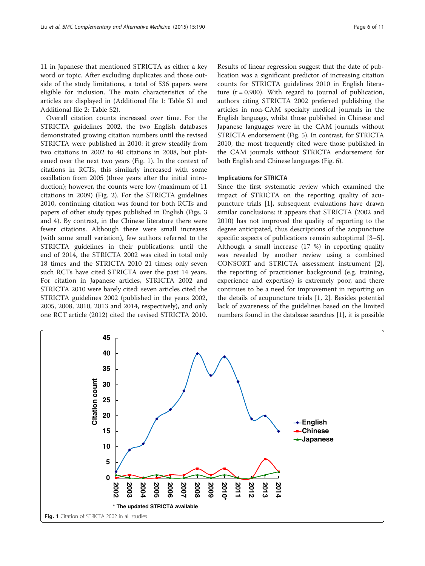11 in Japanese that mentioned STRICTA as either a key word or topic. After excluding duplicates and those outside of the study limitations, a total of 536 papers were eligible for inclusion. The main characteristics of the articles are displayed in (Additional file [1](#page-9-0): Table S1 and Additional file [2:](#page-9-0) Table S2).

Overall citation counts increased over time. For the STRICTA guidelines 2002, the two English databases demonstrated growing citation numbers until the revised STRICTA were published in 2010: it grew steadily from two citations in 2002 to 40 citations in 2008, but plateaued over the next two years (Fig. 1). In the context of citations in RCTs, this similarly increased with some oscillation from 2005 (three years after the initial introduction); however, the counts were low (maximum of 11 citations in 2009) (Fig. [2\)](#page-6-0). For the STRICTA guidelines 2010, continuing citation was found for both RCTs and papers of other study types published in English (Figs. [3](#page-6-0) and [4](#page-6-0)). By contrast, in the Chinese literature there were fewer citations. Although there were small increases (with some small variation), few authors referred to the STRICTA guidelines in their publications: until the end of 2014, the STRICTA 2002 was cited in total only 18 times and the STRICTA 2010 21 times; only seven such RCTs have cited STRICTA over the past 14 years. For citation in Japanese articles, STRICTA 2002 and STRICTA 2010 were barely cited: seven articles cited the STRICTA guidelines 2002 (published in the years 2002, 2005, 2008, 2010, 2013 and 2014, respectively), and only one RCT article (2012) cited the revised STRICTA 2010.

Results of linear regression suggest that the date of publication was a significant predictor of increasing citation counts for STRICTA guidelines 2010 in English literature  $(r = 0.900)$ . With regard to journal of publication, authors citing STRICTA 2002 preferred publishing the articles in non-CAM specialty medical journals in the English language, whilst those published in Chinese and Japanese languages were in the CAM journals without STRICTA endorsement (Fig. [5](#page-7-0)). In contrast, for STRICTA 2010, the most frequently cited were those published in the CAM journals without STRICTA endorsement for both English and Chinese languages (Fig. [6](#page-7-0)).

#### Implications for STRICTA

Since the first systematic review which examined the impact of STRICTA on the reporting quality of acupuncture trials [\[1](#page-9-0)], subsequent evaluations have drawn similar conclusions: it appears that STRICTA (2002 and 2010) has not improved the quality of reporting to the degree anticipated, thus descriptions of the acupuncture specific aspects of publications remain suboptimal [\[3](#page-9-0)–[5](#page-9-0)]. Although a small increase (17 %) in reporting quality was revealed by another review using a combined CONSORT and STRICTA assessment instrument [\[2](#page-9-0)], the reporting of practitioner background (e.g. training, experience and expertise) is extremely poor, and there continues to be a need for improvement in reporting on the details of acupuncture trials [\[1](#page-9-0), [2\]](#page-9-0). Besides potential lack of awareness of the guidelines based on the limited numbers found in the database searches [\[1\]](#page-9-0), it is possible

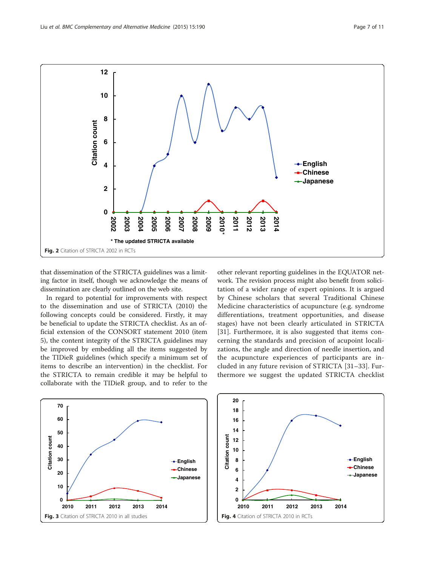<span id="page-6-0"></span>

that dissemination of the STRICTA guidelines was a limiting factor in itself, though we acknowledge the means of dissemination are clearly outlined on the web site.

In regard to potential for improvements with respect to the dissemination and use of STRICTA (2010) the following concepts could be considered. Firstly, it may be beneficial to update the STRICTA checklist. As an official extension of the CONSORT statement 2010 (item 5), the content integrity of the STRICTA guidelines may be improved by embedding all the items suggested by the TIDieR guidelines (which specify a minimum set of items to describe an intervention) in the checklist. For the STRICTA to remain credible it may be helpful to collaborate with the TIDieR group, and to refer to the

other relevant reporting guidelines in the EQUATOR network. The revision process might also benefit from solicitation of a wider range of expert opinions. It is argued by Chinese scholars that several Traditional Chinese Medicine characteristics of acupuncture (e.g. syndrome differentiations, treatment opportunities, and disease stages) have not been clearly articulated in STRICTA [[31](#page-10-0)]. Furthermore, it is also suggested that items concerning the standards and precision of acupoint localizations, the angle and direction of needle insertion, and the acupuncture experiences of participants are included in any future revision of STRICTA [\[31](#page-10-0)–[33](#page-10-0)]. Furthermore we suggest the updated STRICTA checklist



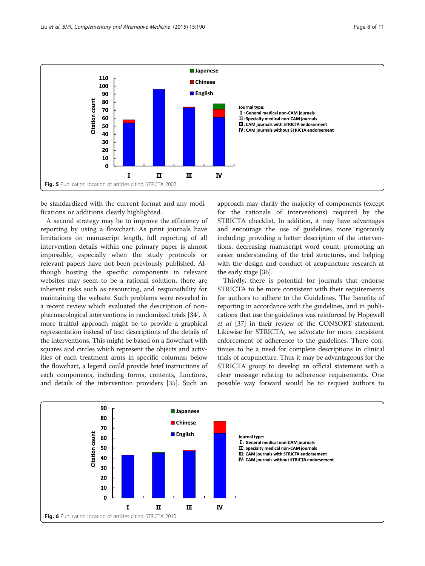<span id="page-7-0"></span>

be standardized with the current format and any modifications or additions clearly highlighted.

A second strategy may be to improve the efficiency of reporting by using a flowchart. As print journals have limitations on manuscript length, full reporting of all intervention details within one primary paper is almost impossible, especially when the study protocols or relevant papers have not been previously published. Although hosting the specific components in relevant websites may seem to be a rational solution, there are inherent risks such as resourcing, and responsibility for maintaining the website. Such problems were revealed in a recent review which evaluated the description of nonpharmacological interventions in randomized trials [\[34\]](#page-10-0). A more fruitful approach might be to provide a graphical representation instead of text descriptions of the details of the interventions. This might be based on a flowchart with squares and circles which represent the objects and activities of each treatment arms in specific columns; below the flowchart, a legend could provide brief instructions of each components, including forms, contents, functions, and details of the intervention providers [\[35](#page-10-0)]. Such an

approach may clarify the majority of components (except for the rationale of interventions) required by the STRICTA checklist. In addition, it may have advantages and encourage the use of guidelines more rigorously including: providing a better description of the interventions, decreasing manuscript word count, promoting an easier understanding of the trial structures, and helping with the design and conduct of acupuncture research at the early stage [\[36\]](#page-10-0).

Thirdly, there is potential for journals that endorse STRICTA to be more consistent with their requirements for authors to adhere to the Guidelines. The benefits of reporting in accordance with the guidelines, and in publications that use the guidelines was reinforced by Hopewell et al [\[37](#page-10-0)] in their review of the CONSORT statement. Likewise for STRICTA, we advocate for more consistent enforcement of adherence to the guidelines. There continues to be a need for complete descriptions in clinical trials of acupuncture. Thus it may be advantageous for the STRICTA group to develop an official statement with a clear message relating to adherence requirements. One possible way forward would be to request authors to

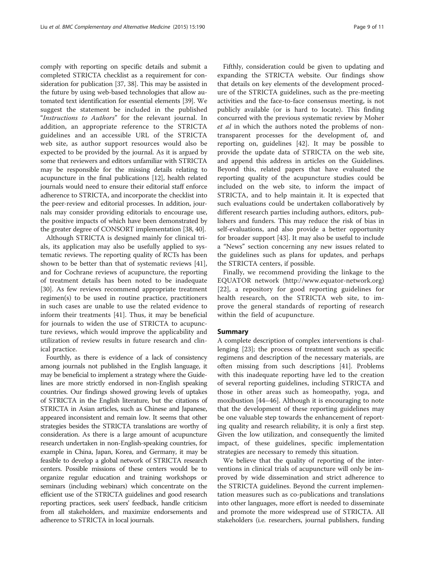comply with reporting on specific details and submit a completed STRICTA checklist as a requirement for consideration for publication [\[37, 38](#page-10-0)]. This may be assisted in the future by using web-based technologies that allow automated text identification for essential elements [[39](#page-10-0)]. We suggest the statement be included in the published "Instructions to Authors" for the relevant journal. In addition, an appropriate reference to the STRICTA guidelines and an accessible URL of the STRICTA web site, as author support resources would also be expected to be provided by the journal. As it is argued by some that reviewers and editors unfamiliar with STRICTA may be responsible for the missing details relating to acupuncture in the final publications [\[12\]](#page-9-0), health related journals would need to ensure their editorial staff enforce adherence to STRICTA, and incorporate the checklist into the peer-review and editorial processes. In addition, journals may consider providing editorials to encourage use, the positive impacts of which have been demonstrated by the greater degree of CONSORT implementation [\[38](#page-10-0), [40](#page-10-0)].

Although STRICTA is designed mainly for clinical trials, its application may also be usefully applied to systematic reviews. The reporting quality of RCTs has been shown to be better than that of systematic reviews [\[41](#page-10-0)], and for Cochrane reviews of acupuncture, the reporting of treatment details has been noted to be inadequate [[30\]](#page-10-0). As few reviews recommend appropriate treatment regimen(s) to be used in routine practice, practitioners in such cases are unable to use the related evidence to inform their treatments [\[41](#page-10-0)]. Thus, it may be beneficial for journals to widen the use of STRICTA to acupuncture reviews, which would improve the applicability and utilization of review results in future research and clinical practice.

Fourthly, as there is evidence of a lack of consistency among journals not published in the English language, it may be beneficial to implement a strategy where the Guidelines are more strictly endorsed in non-English speaking countries. Our findings showed growing levels of uptakes of STRICTA in the English literature, but the citations of STRICTA in Asian articles, such as Chinese and Japanese, appeared inconsistent and remain low. It seems that other strategies besides the STRICTA translations are worthy of consideration. As there is a large amount of acupuncture research undertaken in non-English-speaking countries, for example in China, Japan, Korea, and Germany, it may be feasible to develop a global network of STRICTA research centers. Possible missions of these centers would be to organize regular education and training workshops or seminars (including webinars) which concentrate on the efficient use of the STRICTA guidelines and good research reporting practices, seek users' feedback, handle criticism from all stakeholders, and maximize endorsements and adherence to STRICTA in local journals.

Fifthly, consideration could be given to updating and expanding the STRICTA website. Our findings show that details on key elements of the development procedure of the STRICTA guidelines, such as the pre-meeting activities and the face-to-face consensus meeting, is not publicly available (or is hard to locate). This finding concurred with the previous systematic review by Moher et al in which the authors noted the problems of nontransparent processes for the development of, and reporting on, guidelines [\[42](#page-10-0)]. It may be possible to provide the update data of STRICTA on the web site, and append this address in articles on the Guidelines. Beyond this, related papers that have evaluated the reporting quality of the acupuncture studies could be included on the web site, to inform the impact of STRICTA, and to help maintain it. It is expected that such evaluations could be undertaken collaboratively by different research parties including authors, editors, publishers and funders. This may reduce the risk of bias in self-evaluations, and also provide a better opportunity for broader support [[43](#page-10-0)]. It may also be useful to include a "News" section concerning any new issues related to the guidelines such as plans for updates, and perhaps the STRICTA centers, if possible.

Finally, we recommend providing the linkage to the EQUATOR network (<http://www.equator-network.org>) [[22](#page-10-0)], a repository for good reporting guidelines for health research, on the STRICTA web site, to improve the general standards of reporting of research within the field of acupuncture.

#### Summary

A complete description of complex interventions is challenging [\[23](#page-10-0)]; the process of treatment such as specific regimens and description of the necessary materials, are often missing from such descriptions [[41\]](#page-10-0). Problems with this inadequate reporting have led to the creation of several reporting guidelines, including STRICTA and those in other areas such as homeopathy, yoga, and moxibustion [\[44](#page-10-0)–[46\]](#page-10-0). Although it is encouraging to note that the development of these reporting guidelines may be one valuable step towards the enhancement of reporting quality and research reliability, it is only a first step. Given the low utilization, and consequently the limited impact, of these guidelines, specific implementation strategies are necessary to remedy this situation.

We believe that the quality of reporting of the interventions in clinical trials of acupuncture will only be improved by wide dissemination and strict adherence to the STRICTA guidelines. Beyond the current implementation measures such as co-publications and translations into other languages, more effort is needed to disseminate and promote the more widespread use of STRICTA. All stakeholders (i.e. researchers, journal publishers, funding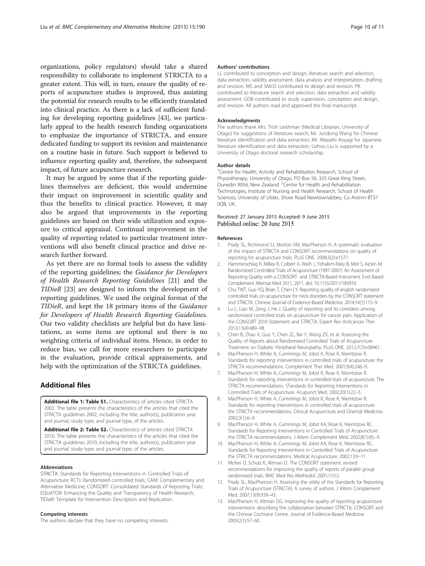<span id="page-9-0"></span>organizations, policy regulators) should take a shared responsibility to collaborate to implement STRICTA to a greater extent. This will, in turn, ensure the quality of reports of acupuncture studies is improved, thus assisting the potential for research results to be efficiently translated into clinical practice. As there is a lack of sufficient funding for developing reporting guidelines [[43](#page-10-0)], we particularly appeal to the health research funding organizations to emphasize the importance of STRICTA, and ensure dedicated funding to support its revision and maintenance on a routine basis in future. Such support is believed to influence reporting quality and, therefore, the subsequent impact, of future acupuncture research.

It may be argued by some that if the reporting guidelines themselves are deficient, this would undermine their impact on improvement in scientific quality and thus the benefits to clinical practice. However, it may also be argued that improvements in the reporting guidelines are based on their wide utilization and exposure to critical appraisal. Continual improvement in the quality of reporting related to particular treatment interventions will also benefit clinical practice and drive research further forward.

As yet there are no formal tools to assess the validity of the reporting guidelines; the Guidance for Developers of Health Research Reporting Guidelines [[21\]](#page-10-0) and the TIDieR [[23\]](#page-10-0) are designed to inform the development of reporting guidelines. We used the original format of the TIDieR, and kept the 18 primary items of the Guidance for Developers of Health Research Reporting Guidelines. Our two validity checklists are helpful but do have limitations, as some items are optional and there is no weighting criteria of individual items. Hence, in order to reduce bias, we call for more researchers to participate in the evaluation, provide critical appraisements, and help with the optimization of the STRICTA guidelines.

## Additional files

[Additional file 1: Table S1.](http://www.biomedcentral.com/content/supplementary/s12906-015-0714-4-s1.pdf) Characteristics of articles cited STRICTA 2002. The table presents the characteristics of the articles that cited the STRICTA guidelines 2002, including the title, author(s), publication year and journal, study type, and journal type, of the articles.

[Additional file 2: Table S2.](http://www.biomedcentral.com/content/supplementary/s12906-015-0714-4-s2.pdf) Characteristics of articles cited STRICTA 2010. The table presents the characteristics of the articles that cited the STRICTA guidelines 2010, including the title, author(s), publication year and journal, study type, and journal type, of the articles.

#### Abbreviations

STRICTA: Standards for Reporting Interventions in Controlled Trials of Acupuncture; RCTs: Randomized controlled trials; CAM: Complementary and Alternative Medicine; CONSORT: Consolidated Standards of Reporting Trials; EQUATOR: Enhancing the Quality and Transparency of Health Research; TIDieR: Template for Intervention Description and Replication.

#### Competing interests

The authors declare that they have no competing interests.

#### Authors' contributions

LL contributed to conception and design, literature search and selection, data extraction, validity assessment, data analysis and interpretation, drafting and revision. MS and SMcD contributed to design and revision. PK contributed to literature search and selection, data extraction and validity assessment. GDB contributed to study supervision, conception and design, and revision. All authors read and approved the final manuscript.

#### Acknowledgments

The authors thank Mrs. Trish Leishman (Medical Librarian, University of Otago) for suggestions of literature search; Mr. Jundong Wang for Chinese literature identification and data extraction; Mr. Masashi Aoyagi for Japanese literature identification and data extraction. Lizhou Liu is supported by a University of Otago doctoral research scholarship.

#### Author details

<sup>1</sup> Centre for Health, Activity and Rehabilitation Research, School of Physiotherapy, University of Otago, PO Box 56, 325 Great King Street, Dunedin 9054, New Zealand. <sup>2</sup> Centre for Health and Rehabilitation Technologies, Institute of Nursing and Health Research, School of Health Sciences, University of Ulster, Shore Road Newtownabbey, Co Antrim BT37 0QB, UK.

#### Received: 27 January 2015 Accepted: 9 June 2015 Published online: 20 June 2015

#### References

- Prady SL, Richmond SJ, Morton VM, MacPherson H. A systematic evaluation of the impact of STRICTA and CONSORT recommendations on quality of reporting for acupuncture trials. PLoS ONE. 2008;3(2):e1577.
- 2. Hammerschlag R, Milley R, Colbert A, Weih J, Yohalem-Ilsley B, Mist S, Aickin M: Randomized Controlled Trials of Acupuncture (1997-2007): An Assessment of Reporting Quality with a CONSORT- and STRICTA-Based Instrument. Evid Based Complement Alternat Med 2011, 2011. doi: 10.1155/2011/183910
- 3. Chu TWT, Guo YQ, Brian T, Chen LY. Reporting quality of english randomized controlled trials on acupuncture for neck disorders by the CONSORT statement and STRICTA. Chinese Journal of Evidence-Based Medicine. 2014;14(1):115–9.
- 4. Lu L, Liao M, Zeng J, He J. Quality of reporting and its correlates among randomized controlled trials on acupuncture for cancer pain: Application of the CONSORT 2010 Statement and STRICTA. Expert Rev Anticancer Ther. 2013;13(4):489–98.
- 5. Chen B, Zhao X, Guo Y, Chen ZL, Bai Y, Wang ZX, et al. Assessing the Quality of Reports about Randomized Controlled Trials of Acupuncture Treatment on Diabetic Peripheral Neuropathy. PLoS ONE. 2012;7(7):e38461.
- 6. MacPherson H, White A, Cummings M, Jobst K, Rose K, Niemtzow R. Standards for reporting interventions in controlled trials of acupuncture: the STRICTA recommendations. Complement Ther Med. 2001;9(4):246–9.
- 7. MacPherson H, White A, Cummings M, Jobst K, Rose K, Niemtzow R. Standards for reporting interventions in controlled trials of acupuncture: The STRICTA recommendations. STandards for Reporting Interventions in Controlled Trails of Acupuncture. Acupunct Med. 2002;20(1):22–5.
- 8. MacPherson H, White A, Cummings M, Jobst K, Rose K, Niemtzow R. Standards for reporting interventions in controlled trials of acupuncture: the STRICTA recommendations. Clinical Acupuncture and Oriental Medicine. 2002;3(1):6–9.
- 9. MacPherson H, White A, Cummings M, Jobst KA, Rose K, Niemtzow RC. Standards for Reporting Interventions in Controlled Trials of Acupuncture: the STRICTA recommendations. J Altern Complement Med. 2002;8(1):85–9.
- 10. MacPherson H, White A, Cummings M, Jobst KA, Rose K, Niemtzow RC. Standards for Reporting Interventions in Controlled Trials of Acupuncture: the STRICTA recommendations. Medical Acupuncture. 2002;13:9–11.
- 11. Moher D, Schulz K, Altman D. The CONSORT statement: revised recommendations for improving the quality of reports of parallel group randomized trials. BMC Med Res Methodol. 2001;1(1):2.
- 12. Prady SL, MacPherson H. Assessing the utility of the Standards for Reporting Trials of Acupuncture (STRICTA): A survey of authors. J Altern Complement Med. 2007;13(9):939–43.
- 13. MacPherson H, Altman DG. Improving the quality of reporting acupuncture interventions: describing the collaboration between STRICTA, CONSORT and the Chinese Cochrane Centre. Journal of Evidence-Based Medicine. 2009;2(1):57–60.